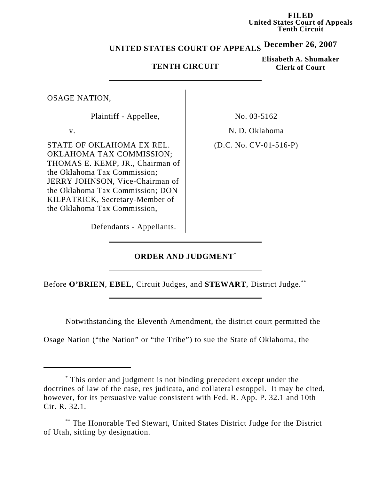**FILED United States Court of Appeals Tenth Circuit**

# **December 26, 2007 UNITED STATES COURT OF APPEALS**

#### **TENTH CIRCUIT**

**Elisabeth A. Shumaker Clerk of Court**

OSAGE NATION,

Plaintiff - Appellee, No. 03-5162

STATE OF OKLAHOMA EX REL. OKLAHOMA TAX COMMISSION; THOMAS E. KEMP, JR., Chairman of the Oklahoma Tax Commission; JERRY JOHNSON, Vice-Chairman of the Oklahoma Tax Commission; DON KILPATRICK, Secretary-Member of the Oklahoma Tax Commission,

v. N. D. Oklahoma

(D.C. No. CV-01-516-P)

Defendants - Appellants.

## **ORDER AND JUDGMENT**\*

Before **O'BRIEN**, **EBEL**, Circuit Judges, and **STEWART**, District Judge.\*\*

Notwithstanding the Eleventh Amendment, the district court permitted the

Osage Nation ("the Nation" or "the Tribe") to sue the State of Oklahoma, the

<sup>\*</sup> This order and judgment is not binding precedent except under the doctrines of law of the case, res judicata, and collateral estoppel. It may be cited, however, for its persuasive value consistent with Fed. R. App. P. 32.1 and 10th Cir. R. 32.1.

<sup>\*\*</sup> The Honorable Ted Stewart, United States District Judge for the District of Utah, sitting by designation.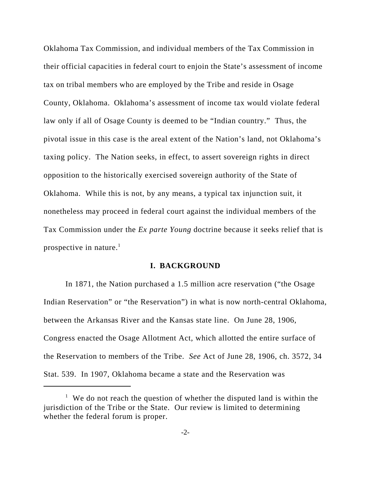Oklahoma Tax Commission, and individual members of the Tax Commission in their official capacities in federal court to enjoin the State's assessment of income tax on tribal members who are employed by the Tribe and reside in Osage County, Oklahoma. Oklahoma's assessment of income tax would violate federal law only if all of Osage County is deemed to be "Indian country." Thus, the pivotal issue in this case is the areal extent of the Nation's land, not Oklahoma's taxing policy. The Nation seeks, in effect, to assert sovereign rights in direct opposition to the historically exercised sovereign authority of the State of Oklahoma. While this is not, by any means, a typical tax injunction suit, it nonetheless may proceed in federal court against the individual members of the Tax Commission under the *Ex parte Young* doctrine because it seeks relief that is prospective in nature.<sup>1</sup>

#### **I. BACKGROUND**

In 1871, the Nation purchased a 1.5 million acre reservation ("the Osage Indian Reservation" or "the Reservation") in what is now north-central Oklahoma, between the Arkansas River and the Kansas state line.On June 28, 1906, Congress enacted the Osage Allotment Act, which allotted the entire surface of the Reservation to members of the Tribe. *See* Act of June 28, 1906, ch. 3572, 34 Stat. 539. In 1907, Oklahoma became a state and the Reservation was

<sup>&</sup>lt;sup>1</sup> We do not reach the question of whether the disputed land is within the jurisdiction of the Tribe or the State. Our review is limited to determining whether the federal forum is proper.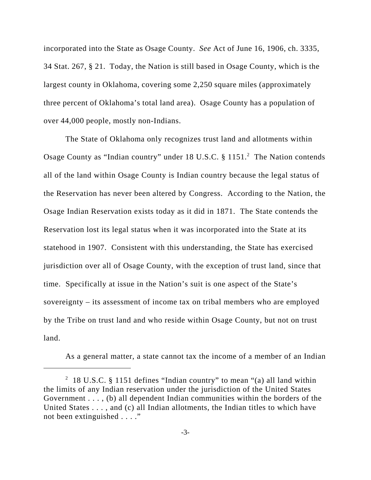incorporated into the State as Osage County. *See* Act of June 16, 1906, ch. 3335, 34 Stat. 267, § 21. Today, the Nation is still based in Osage County, which is the largest county in Oklahoma, covering some 2,250 square miles (approximately three percent of Oklahoma's total land area). Osage County has a population of over 44,000 people, mostly non-Indians.

The State of Oklahoma only recognizes trust land and allotments within Osage County as "Indian country" under 18 U.S.C. § 1151.<sup>2</sup> The Nation contends all of the land within Osage County is Indian country because the legal status of the Reservation has never been altered by Congress. According to the Nation, the Osage Indian Reservation exists today as it did in 1871.The State contends the Reservation lost its legal status when it was incorporated into the State at its statehood in 1907. Consistent with this understanding, the State has exercised jurisdiction over all of Osage County, with the exception of trust land, since that time. Specifically at issue in the Nation's suit is one aspect of the State's sovereignty – its assessment of income tax on tribal members who are employed by the Tribe on trust land and who reside within Osage County, but not on trust land.

As a general matter, a state cannot tax the income of a member of an Indian

<sup>&</sup>lt;sup>2</sup> 18 U.S.C. § 1151 defines "Indian country" to mean "(a) all land within the limits of any Indian reservation under the jurisdiction of the United States Government . . . , (b) all dependent Indian communities within the borders of the United States . . . , and (c) all Indian allotments, the Indian titles to which have not been extinguished . . . ."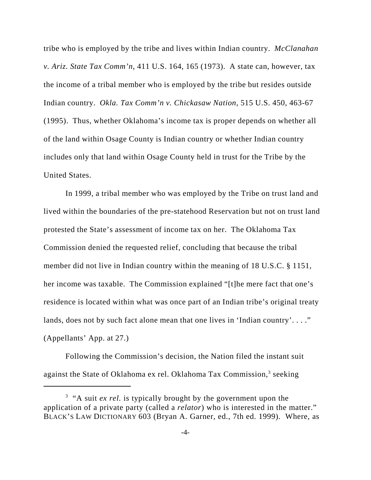tribe who is employed by the tribe and lives within Indian country. *McClanahan v. Ariz. State Tax Comm'n*, 411 U.S. 164, 165 (1973). A state can, however, tax the income of a tribal member who is employed by the tribe but resides outside Indian country. *Okla. Tax Comm'n v. Chickasaw Nation*, 515 U.S. 450, 463-67 (1995). Thus, whether Oklahoma's income tax is proper depends on whether all of the land within Osage County is Indian country or whether Indian country includes only that land within Osage County held in trust for the Tribe by the United States.

In 1999, a tribal member who was employed by the Tribe on trust land and lived within the boundaries of the pre-statehood Reservation but not on trust land protested the State's assessment of income tax on her. The Oklahoma Tax Commission denied the requested relief, concluding that because the tribal member did not live in Indian country within the meaning of 18 U.S.C. § 1151, her income was taxable. The Commission explained "[t]he mere fact that one's residence is located within what was once part of an Indian tribe's original treaty lands, does not by such fact alone mean that one lives in 'Indian country'...." (Appellants' App. at 27.)

Following the Commission's decision, the Nation filed the instant suit against the State of Oklahoma ex rel. Oklahoma Tax Commission,<sup>3</sup> seeking

<sup>&</sup>lt;sup>3</sup> "A suit *ex rel*. is typically brought by the government upon the application of a private party (called a *relator*) who is interested in the matter." BLACK'S LAW DICTIONARY 603 (Bryan A. Garner, ed., 7th ed. 1999). Where, as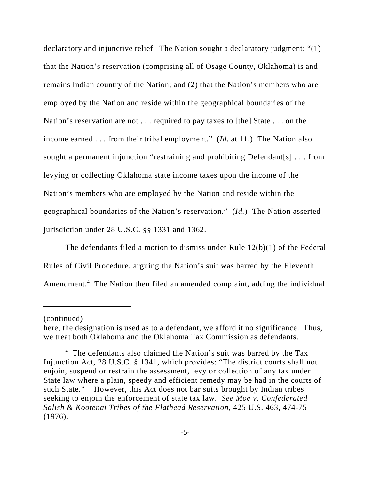declaratory and injunctive relief. The Nation sought a declaratory judgment: "(1) that the Nation's reservation (comprising all of Osage County, Oklahoma) is and remains Indian country of the Nation; and (2) that the Nation's members who are employed by the Nation and reside within the geographical boundaries of the Nation's reservation are not . . . required to pay taxes to [the] State . . . on the income earned . . . from their tribal employment." (*Id.* at 11.) The Nation also sought a permanent injunction "restraining and prohibiting Defendant[s] . . . from levying or collecting Oklahoma state income taxes upon the income of the Nation's members who are employed by the Nation and reside within the geographical boundaries of the Nation's reservation." (*Id.*) The Nation asserted jurisdiction under 28 U.S.C. §§ 1331 and 1362.

The defendants filed a motion to dismiss under Rule 12(b)(1) of the Federal Rules of Civil Procedure, arguing the Nation's suit was barred by the Eleventh Amendment.<sup>4</sup> The Nation then filed an amended complaint, adding the individual

<sup>(</sup>continued)

here, the designation is used as to a defendant, we afford it no significance. Thus, we treat both Oklahoma and the Oklahoma Tax Commission as defendants.

<sup>&</sup>lt;sup>4</sup> The defendants also claimed the Nation's suit was barred by the Tax Injunction Act, 28 U.S.C. § 1341, which provides: "The district courts shall not enjoin, suspend or restrain the assessment, levy or collection of any tax under State law where a plain, speedy and efficient remedy may be had in the courts of such State." However, this Act does not bar suits brought by Indian tribes seeking to enjoin the enforcement of state tax law. *See Moe v. Confederated Salish & Kootenai Tribes of the Flathead Reservation*, 425 U.S. 463, 474-75 (1976).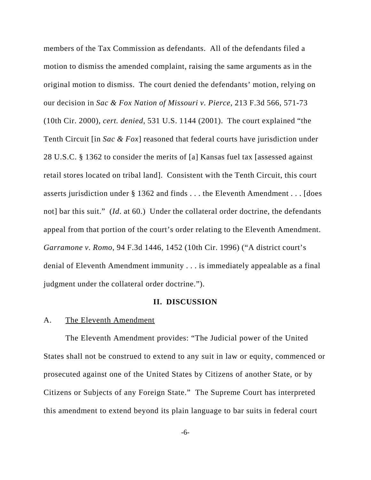members of the Tax Commission as defendants. All of the defendants filed a motion to dismiss the amended complaint, raising the same arguments as in the original motion to dismiss. The court denied the defendants' motion, relying on our decision in *Sac & Fox Nation of Missouri v. Pierce*, 213 F.3d 566, 571-73 (10th Cir. 2000), *cert. denied*, 531 U.S. 1144 (2001). The court explained "the Tenth Circuit [in *Sac & Fox*] reasoned that federal courts have jurisdiction under 28 U.S.C. § 1362 to consider the merits of [a] Kansas fuel tax [assessed against retail stores located on tribal land]. Consistent with the Tenth Circuit, this court asserts jurisdiction under § 1362 and finds . . . the Eleventh Amendment . . . [does not] bar this suit." *(Id. at 60.)* Under the collateral order doctrine, the defendants appeal from that portion of the court's order relating to the Eleventh Amendment. *Garramone v. Romo*, 94 F.3d 1446, 1452 (10th Cir. 1996) ("A district court's denial of Eleventh Amendment immunity . . . is immediately appealable as a final judgment under the collateral order doctrine.").

#### **II. DISCUSSION**

#### A. The Eleventh Amendment

The Eleventh Amendment provides: "The Judicial power of the United States shall not be construed to extend to any suit in law or equity, commenced or prosecuted against one of the United States by Citizens of another State, or by Citizens or Subjects of any Foreign State." The Supreme Court has interpreted this amendment to extend beyond its plain language to bar suits in federal court

-6-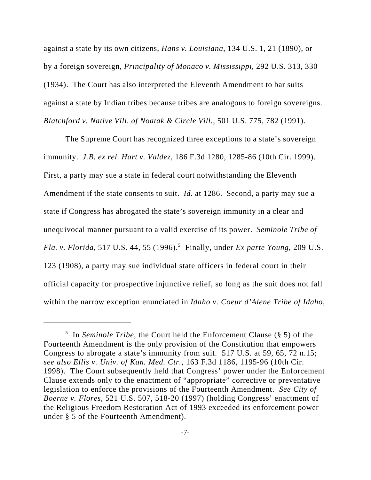against a state by its own citizens, *Hans v. Louisiana*, 134 U.S. 1, 21 (1890), or by a foreign sovereign, *Principality of Monaco v. Mississippi*, 292 U.S. 313, 330 (1934). The Court has also interpreted the Eleventh Amendment to bar suits against a state by Indian tribes because tribes are analogous to foreign sovereigns. *Blatchford v. Native Vill. of Noatak & Circle Vill.*, 501 U.S. 775, 782 (1991).

The Supreme Court has recognized three exceptions to a state's sovereign immunity. *J.B. ex rel. Hart v. Valdez*, 186 F.3d 1280, 1285-86 (10th Cir. 1999). First, a party may sue a state in federal court notwithstanding the Eleventh Amendment if the state consents to suit. *Id.* at 1286. Second, a party may sue a state if Congress has abrogated the state's sovereign immunity in a clear and unequivocal manner pursuant to a valid exercise of its power. *Seminole Tribe of Fla. v. Florida*, 517 U.S. 44, 55 (1996).<sup>5</sup> Finally, under *Ex parte Young*, 209 U.S. 123 (1908), a party may sue individual state officers in federal court in their official capacity for prospective injunctive relief, so long as the suit does not fall within the narrow exception enunciated in *Idaho v. Coeur d'Alene Tribe of Idaho*,

<sup>5</sup> In *Seminole Tribe*, the Court held the Enforcement Clause (§ 5) of the Fourteenth Amendment is the only provision of the Constitution that empowers Congress to abrogate a state's immunity from suit. 517 U.S. at 59, 65, 72 n.15; *see also Ellis v. Univ. of Kan. Med. Ctr.*, 163 F.3d 1186, 1195-96 (10th Cir. 1998). The Court subsequently held that Congress' power under the Enforcement Clause extends only to the enactment of "appropriate" corrective or preventative legislation to enforce the provisions of the Fourteenth Amendment. *See City of Boerne v. Flores*, 521 U.S. 507, 518-20 (1997) (holding Congress' enactment of the Religious Freedom Restoration Act of 1993 exceeded its enforcement power under § 5 of the Fourteenth Amendment).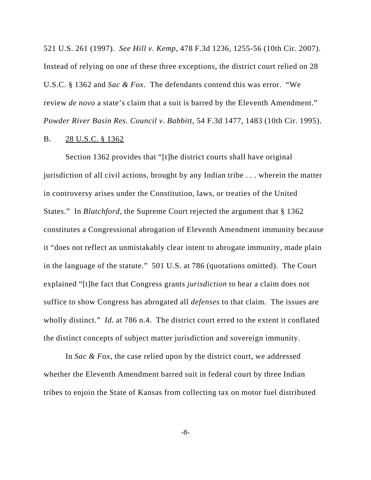521 U.S. 261 (1997). *See Hill v. Kemp*, 478 F.3d 1236, 1255-56 (10th Cir. 2007). Instead of relying on one of these three exceptions, the district court relied on 28 U.S.C. § 1362 and *Sac & Fox*. The defendants contend this was error. "We review *de novo* a state's claim that a suit is barred by the Eleventh Amendment." *Powder River Basin Res. Council v. Babbitt*, 54 F.3d 1477, 1483 (10th Cir. 1995).

## B. 28 U.S.C. § 1362

Section 1362 provides that "[t]he district courts shall have original jurisdiction of all civil actions, brought by any Indian tribe . . . wherein the matter in controversy arises under the Constitution, laws, or treaties of the United States." In *Blatchford*, the Supreme Court rejected the argument that § 1362 constitutes a Congressional abrogation of Eleventh Amendment immunity because it "does not reflect an unmistakably clear intent to abrogate immunity, made plain in the language of the statute." 501 U.S. at 786 (quotations omitted). The Court explained "[t]he fact that Congress grants *jurisdiction* to hear a claim does not suffice to show Congress has abrogated all *defenses* to that claim. The issues are wholly distinct." *Id.* at 786 n.4. The district court erred to the extent it conflated the distinct concepts of subject matter jurisdiction and sovereign immunity.

In *Sac & Fox*, the case relied upon by the district court, we addressed whether the Eleventh Amendment barred suit in federal court by three Indian tribes to enjoin the State of Kansas from collecting tax on motor fuel distributed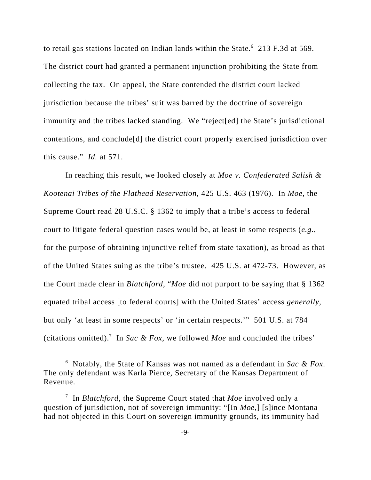to retail gas stations located on Indian lands within the State.<sup>6</sup> 213 F.3d at 569. The district court had granted a permanent injunction prohibiting the State from collecting the tax. On appeal, the State contended the district court lacked jurisdiction because the tribes' suit was barred by the doctrine of sovereign immunity and the tribes lacked standing. We "reject[ed] the State's jurisdictional contentions, and conclude[d] the district court properly exercised jurisdiction over this cause." *Id.* at 571.

In reaching this result, we looked closely at *Moe v. Confederated Salish & Kootenai Tribes of the Flathead Reservation*, 425 U.S. 463 (1976). In *Moe*, the Supreme Court read 28 U.S.C. § 1362 to imply that a tribe's access to federal court to litigate federal question cases would be, at least in some respects (*e.g.*, for the purpose of obtaining injunctive relief from state taxation), as broad as that of the United States suing as the tribe's trustee. 425 U.S. at 472-73. However, as the Court made clear in *Blatchford*, "*Moe* did not purport to be saying that § 1362 equated tribal access [to federal courts] with the United States' access *generally*, but only 'at least in some respects' or 'in certain respects.'" 501 U.S. at 784 (citations omitted).<sup>7</sup> In *Sac & Fox*, we followed *Moe* and concluded the tribes'

<sup>6</sup> Notably, the State of Kansas was not named as a defendant in *Sac & Fox*. The only defendant was Karla Pierce, Secretary of the Kansas Department of Revenue.

<sup>7</sup> In *Blatchford*, the Supreme Court stated that *Moe* involved only a question of jurisdiction, not of sovereign immunity: "[In *Moe*,] [s]ince Montana had not objected in this Court on sovereign immunity grounds, its immunity had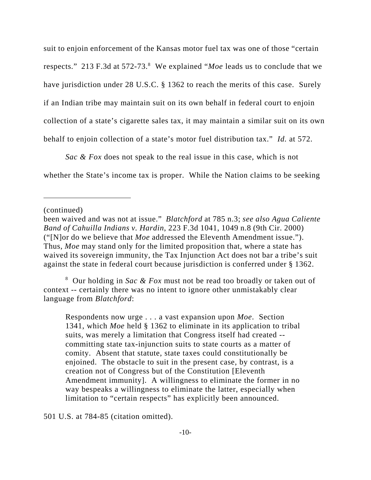suit to enjoin enforcement of the Kansas motor fuel tax was one of those "certain respects." 213 F.3d at 572-73.<sup>8</sup> We explained "*Moe* leads us to conclude that we have jurisdiction under 28 U.S.C. § 1362 to reach the merits of this case. Surely if an Indian tribe may maintain suit on its own behalf in federal court to enjoin collection of a state's cigarette sales tax, it may maintain a similar suit on its own behalf to enjoin collection of a state's motor fuel distribution tax." *Id.* at 572.

*Sac & Fox* does not speak to the real issue in this case, which is not whether the State's income tax is proper. While the Nation claims to be seeking

(continued)

8 Our holding in *Sac & Fox* must not be read too broadly or taken out of context -- certainly there was no intent to ignore other unmistakably clear language from *Blatchford*:

Respondents now urge . . . a vast expansion upon *Moe*. Section 1341, which *Moe* held § 1362 to eliminate in its application to tribal suits, was merely a limitation that Congress itself had created - committing state tax-injunction suits to state courts as a matter of comity. Absent that statute, state taxes could constitutionally be enjoined. The obstacle to suit in the present case, by contrast, is a creation not of Congress but of the Constitution [Eleventh Amendment immunity]. A willingness to eliminate the former in no way bespeaks a willingness to eliminate the latter, especially when limitation to "certain respects" has explicitly been announced.

501 U.S. at 784-85 (citation omitted).

been waived and was not at issue." *Blatchford* at 785 n.3; *see also Agua Caliente Band of Cahuilla Indians v. Hardin*, 223 F.3d 1041, 1049 n.8 (9th Cir. 2000) ("[N]or do we believe that *Moe* addressed the Eleventh Amendment issue."). Thus, *Moe* may stand only for the limited proposition that, where a state has waived its sovereign immunity, the Tax Injunction Act does not bar a tribe's suit against the state in federal court because jurisdiction is conferred under § 1362.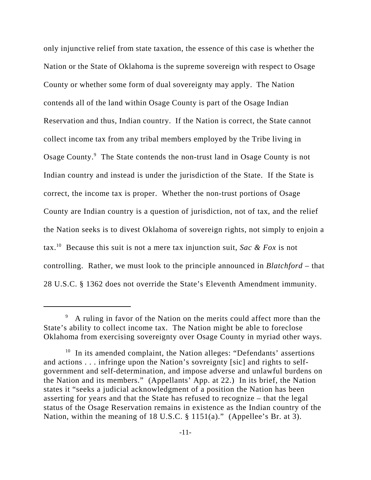only injunctive relief from state taxation, the essence of this case is whether the Nation or the State of Oklahoma is the supreme sovereign with respect to Osage County or whether some form of dual sovereignty may apply. The Nation contends all of the land within Osage County is part of the Osage Indian Reservation and thus, Indian country. If the Nation is correct, the State cannot collect income tax from any tribal members employed by the Tribe living in Osage County.<sup>9</sup> The State contends the non-trust land in Osage County is not Indian country and instead is under the jurisdiction of the State. If the State is correct, the income tax is proper. Whether the non-trust portions of Osage County are Indian country is a question of jurisdiction, not of tax, and the relief the Nation seeks is to divest Oklahoma of sovereign rights, not simply to enjoin a tax.10 Because this suit is not a mere tax injunction suit, *Sac & Fox* is not controlling. Rather, we must look to the principle announced in *Blatchford* – that 28 U.S.C. § 1362 does not override the State's Eleventh Amendment immunity.

<sup>&</sup>lt;sup>9</sup> A ruling in favor of the Nation on the merits could affect more than the State's ability to collect income tax. The Nation might be able to foreclose Oklahoma from exercising sovereignty over Osage County in myriad other ways.

 $10$  In its amended complaint, the Nation alleges: "Defendants' assertions and actions . . . infringe upon the Nation's sovreignty [sic] and rights to selfgovernment and self-determination, and impose adverse and unlawful burdens on the Nation and its members." (Appellants' App. at 22.) In its brief, the Nation states it "seeks a judicial acknowledgment of a position the Nation has been asserting for years and that the State has refused to recognize – that the legal status of the Osage Reservation remains in existence as the Indian country of the Nation, within the meaning of 18 U.S.C. § 1151(a)." (Appellee's Br. at 3).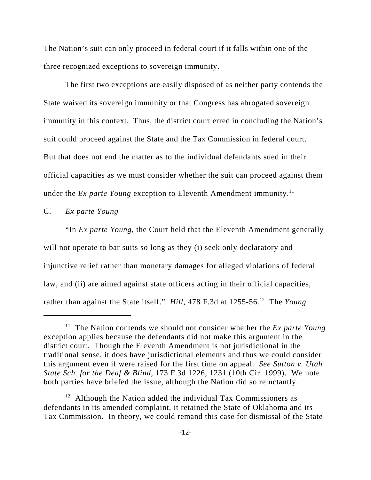The Nation's suit can only proceed in federal court if it falls within one of the three recognized exceptions to sovereign immunity.

The first two exceptions are easily disposed of as neither party contends the State waived its sovereign immunity or that Congress has abrogated sovereign immunity in this context. Thus, the district court erred in concluding the Nation's suit could proceed against the State and the Tax Commission in federal court. But that does not end the matter as to the individual defendants sued in their official capacities as we must consider whether the suit can proceed against them under the *Ex parte Young* exception to Eleventh Amendment immunity.<sup>11</sup>

### C. *Ex parte Young*

"In *Ex parte Young*, the Court held that the Eleventh Amendment generally will not operate to bar suits so long as they (i) seek only declaratory and injunctive relief rather than monetary damages for alleged violations of federal law, and (ii) are aimed against state officers acting in their official capacities, rather than against the State itself." *Hill*, 478 F.3d at 1255-56.12 The *Young*

<sup>&</sup>lt;sup>11</sup> The Nation contends we should not consider whether the *Ex parte Young* exception applies because the defendants did not make this argument in the district court. Though the Eleventh Amendment is not jurisdictional in the traditional sense, it does have jurisdictional elements and thus we could consider this argument even if were raised for the first time on appeal. *See Sutton v. Utah State Sch. for the Deaf & Blind*, 173 F.3d 1226, 1231 (10th Cir. 1999). We note both parties have briefed the issue, although the Nation did so reluctantly.

 $12$  Although the Nation added the individual Tax Commissioners as defendants in its amended complaint, it retained the State of Oklahoma and its Tax Commission. In theory, we could remand this case for dismissal of the State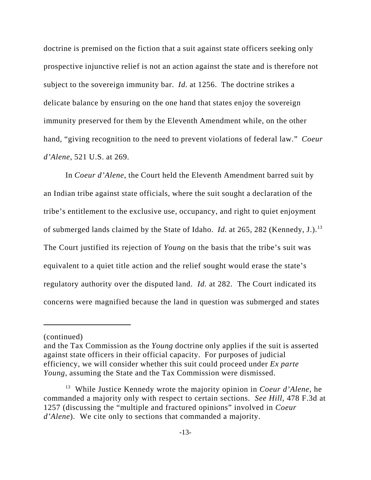doctrine is premised on the fiction that a suit against state officers seeking only prospective injunctive relief is not an action against the state and is therefore not subject to the sovereign immunity bar. *Id.* at 1256. The doctrine strikes a delicate balance by ensuring on the one hand that states enjoy the sovereign immunity preserved for them by the Eleventh Amendment while, on the other hand, "giving recognition to the need to prevent violations of federal law." *Coeur d'Alene*, 521 U.S. at 269.

In *Coeur d'Alene*, the Court held the Eleventh Amendment barred suit by an Indian tribe against state officials, where the suit sought a declaration of the tribe's entitlement to the exclusive use, occupancy, and right to quiet enjoyment of submerged lands claimed by the State of Idaho. *Id.* at 265, 282 (Kennedy, J.).13 The Court justified its rejection of *Young* on the basis that the tribe's suit was equivalent to a quiet title action and the relief sought would erase the state's regulatory authority over the disputed land. *Id.* at 282. The Court indicated its concerns were magnified because the land in question was submerged and states

<sup>(</sup>continued)

and the Tax Commission as the *Young* doctrine only applies if the suit is asserted against state officers in their official capacity. For purposes of judicial efficiency, we will consider whether this suit could proceed under *Ex parte Young*, assuming the State and the Tax Commission were dismissed.

<sup>13</sup> While Justice Kennedy wrote the majority opinion in *Coeur d'Alene*, he commanded a majority only with respect to certain sections. *See Hill*, 478 F.3d at 1257 (discussing the "multiple and fractured opinions" involved in *Coeur d'Alene*). We cite only to sections that commanded a majority.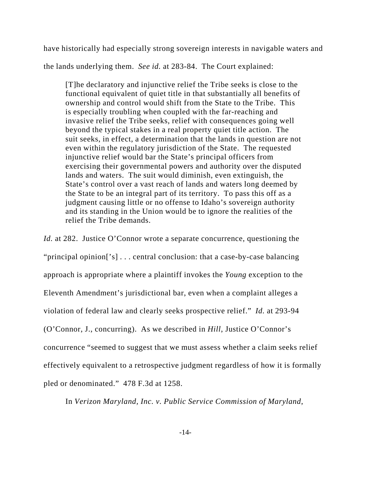have historically had especially strong sovereign interests in navigable waters and the lands underlying them. *See id.* at 283-84. The Court explained:

[T]he declaratory and injunctive relief the Tribe seeks is close to the functional equivalent of quiet title in that substantially all benefits of ownership and control would shift from the State to the Tribe. This is especially troubling when coupled with the far-reaching and invasive relief the Tribe seeks, relief with consequences going well beyond the typical stakes in a real property quiet title action. The suit seeks, in effect, a determination that the lands in question are not even within the regulatory jurisdiction of the State. The requested injunctive relief would bar the State's principal officers from exercising their governmental powers and authority over the disputed lands and waters. The suit would diminish, even extinguish, the State's control over a vast reach of lands and waters long deemed by the State to be an integral part of its territory. To pass this off as a judgment causing little or no offense to Idaho's sovereign authority and its standing in the Union would be to ignore the realities of the relief the Tribe demands.

*Id.* at 282. Justice O'Connor wrote a separate concurrence, questioning the "principal opinion['s] . . . central conclusion: that a case-by-case balancing approach is appropriate where a plaintiff invokes the *Young* exception to the Eleventh Amendment's jurisdictional bar, even when a complaint alleges a violation of federal law and clearly seeks prospective relief." *Id.* at 293-94 (O'Connor, J., concurring). As we described in *Hill*, Justice O'Connor's concurrence "seemed to suggest that we must assess whether a claim seeks relief effectively equivalent to a retrospective judgment regardless of how it is formally pled or denominated." 478 F.3d at 1258.

In *Verizon Maryland, Inc. v. Public Service Commission of Maryland*,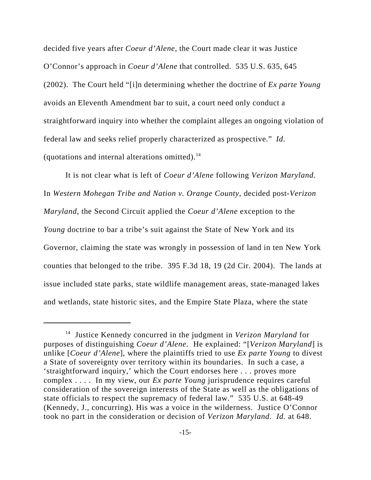decided five years after *Coeur d'Alene*, the Court made clear it was Justice O'Connor's approach in *Coeur d'Alene* that controlled. 535 U.S. 635, 645 (2002). The Court held "[i]n determining whether the doctrine of *Ex parte Young* avoids an Eleventh Amendment bar to suit, a court need only conduct a straightforward inquiry into whether the complaint alleges an ongoing violation of federal law and seeks relief properly characterized as prospective." *Id.* (quotations and internal alterations omitted). $<sup>14</sup>$ </sup>

It is not clear what is left of *Coeur d'Alene* following *Verizon Maryland*. In *Western Mohegan Tribe and Nation v. Orange County*, decided post-*Verizon Maryland*, the Second Circuit applied the *Coeur d'Alene* exception to the *Young* doctrine to bar a tribe's suit against the State of New York and its Governor, claiming the state was wrongly in possession of land in ten New York counties that belonged to the tribe. 395 F.3d 18, 19 (2d Cir. 2004). The lands at issue included state parks, state wildlife management areas, state-managed lakes and wetlands, state historic sites, and the Empire State Plaza, where the state

<sup>14</sup> Justice Kennedy concurred in the judgment in *Verizon Maryland* for purposes of distinguishing *Coeur d'Alene*. He explained: "[*Verizon Maryland*] is unlike [*Coeur d'Alene*], where the plaintiffs tried to use *Ex parte Young* to divest a State of sovereignty over territory within its boundaries. In such a case, a 'straightforward inquiry,' which the Court endorses here . . . proves more complex . . . . In my view, our *Ex parte Young* jurisprudence requires careful consideration of the sovereign interests of the State as well as the obligations of state officials to respect the supremacy of federal law." 535 U.S. at 648-49 (Kennedy, J., concurring). His was a voice in the wilderness. Justice O'Connor took no part in the consideration or decision of *Verizon Maryland*. *Id.* at 648.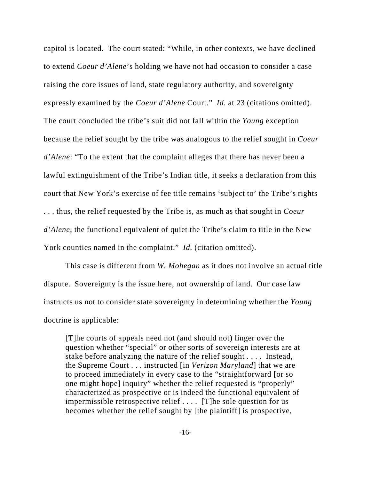capitol is located. The court stated: "While, in other contexts, we have declined to extend *Coeur d'Alene*'s holding we have not had occasion to consider a case raising the core issues of land, state regulatory authority, and sovereignty expressly examined by the *Coeur d'Alene* Court." *Id.* at 23 (citations omitted). The court concluded the tribe's suit did not fall within the *Young* exception because the relief sought by the tribe was analogous to the relief sought in *Coeur d'Alene*: "To the extent that the complaint alleges that there has never been a lawful extinguishment of the Tribe's Indian title, it seeks a declaration from this court that New York's exercise of fee title remains 'subject to' the Tribe's rights . . . thus, the relief requested by the Tribe is, as much as that sought in *Coeur d'Alene*, the functional equivalent of quiet the Tribe's claim to title in the New York counties named in the complaint." *Id.* (citation omitted).

This case is different from *W. Mohegan* as it does not involve an actual title dispute. Sovereignty is the issue here, not ownership of land. Our case law instructs us not to consider state sovereignty in determining whether the *Young* doctrine is applicable:

[T]he courts of appeals need not (and should not) linger over the question whether "special" or other sorts of sovereign interests are at stake before analyzing the nature of the relief sought . . . . Instead, the Supreme Court . . . instructed [in *Verizon Maryland*] that we are to proceed immediately in every case to the "straightforward [or so one might hope] inquiry" whether the relief requested is "properly" characterized as prospective or is indeed the functional equivalent of impermissible retrospective relief . . . . [T]he sole question for us becomes whether the relief sought by [the plaintiff] is prospective,